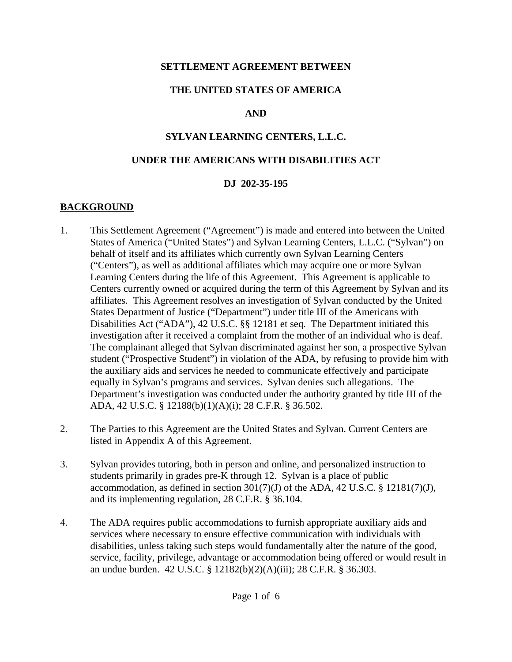#### **SETTLEMENT AGREEMENT BETWEEN**

### **THE UNITED STATES OF AMERICA**

### **AND**

### **SYLVAN LEARNING CENTERS, L.L.C.**

#### **UNDER THE AMERICANS WITH DISABILITIES ACT**

#### **DJ 202-35-195**

## **BACKGROUND**

- 1. This Settlement Agreement ("Agreement") is made and entered into between the United States of America ("United States") and Sylvan Learning Centers, L.L.C. ("Sylvan") on behalf of itself and its affiliates which currently own Sylvan Learning Centers ("Centers"), as well as additional affiliates which may acquire one or more Sylvan Learning Centers during the life of this Agreement. This Agreement is applicable to Centers currently owned or acquired during the term of this Agreement by Sylvan and its affiliates. This Agreement resolves an investigation of Sylvan conducted by the United States Department of Justice ("Department") under title III of the Americans with Disabilities Act ("ADA"), 42 U.S.C. §§ 12181 et seq. The Department initiated this investigation after it received a complaint from the mother of an individual who is deaf. The complainant alleged that Sylvan discriminated against her son, a prospective Sylvan student ("Prospective Student") in violation of the ADA, by refusing to provide him with the auxiliary aids and services he needed to communicate effectively and participate equally in Sylvan's programs and services. Sylvan denies such allegations. The Department's investigation was conducted under the authority granted by title III of the ADA, 42 U.S.C. § 12188(b)(1)(A)(i); 28 C.F.R. § 36.502.
- 2. The Parties to this Agreement are the United States and Sylvan. Current Centers are listed in Appendix A of this Agreement.
- 3. Sylvan provides tutoring, both in person and online, and personalized instruction to students primarily in grades pre-K through 12. Sylvan is a place of public accommodation, as defined in section  $301(7)(J)$  of the ADA, 42 U.S.C. § 12181(7)(J), and its implementing regulation, 28 C.F.R. § 36.104.
- 4. The ADA requires public accommodations to furnish appropriate auxiliary aids and services where necessary to ensure effective communication with individuals with disabilities, unless taking such steps would fundamentally alter the nature of the good, service, facility, privilege, advantage or accommodation being offered or would result in an undue burden. 42 U.S.C. § 12182(b)(2)(A)(iii); 28 C.F.R. § 36.303.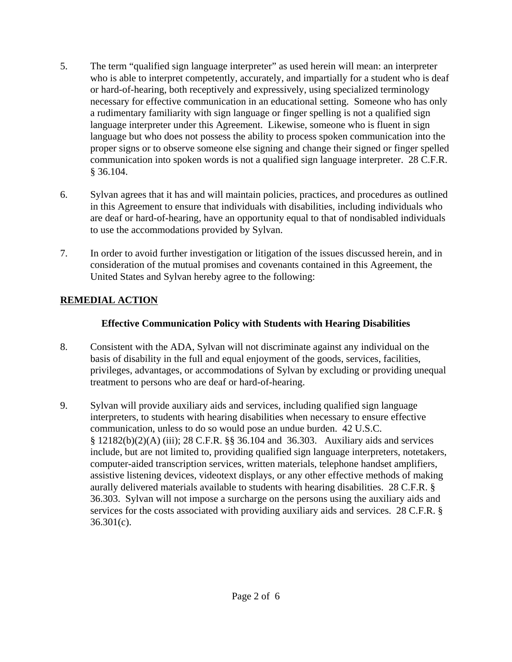- 5. The term "qualified sign language interpreter" as used herein will mean: an interpreter who is able to interpret competently, accurately, and impartially for a student who is deaf or hard-of-hearing, both receptively and expressively, using specialized terminology necessary for effective communication in an educational setting. Someone who has only a rudimentary familiarity with sign language or finger spelling is not a qualified sign language interpreter under this Agreement. Likewise, someone who is fluent in sign language but who does not possess the ability to process spoken communication into the proper signs or to observe someone else signing and change their signed or finger spelled communication into spoken words is not a qualified sign language interpreter. 28 C.F.R. § 36.104.
- 6. Sylvan agrees that it has and will maintain policies, practices, and procedures as outlined in this Agreement to ensure that individuals with disabilities, including individuals who are deaf or hard-of-hearing, have an opportunity equal to that of nondisabled individuals to use the accommodations provided by Sylvan.
- 7. In order to avoid further investigation or litigation of the issues discussed herein, and in consideration of the mutual promises and covenants contained in this Agreement, the United States and Sylvan hereby agree to the following:

## **REMEDIAL ACTION**

### **Effective Communication Policy with Students with Hearing Disabilities**

- 8. Consistent with the ADA, Sylvan will not discriminate against any individual on the basis of disability in the full and equal enjoyment of the goods, services, facilities, privileges, advantages, or accommodations of Sylvan by excluding or providing unequal treatment to persons who are deaf or hard-of-hearing.
- 9. Sylvan will provide auxiliary aids and services, including qualified sign language interpreters, to students with hearing disabilities when necessary to ensure effective communication, unless to do so would pose an undue burden. 42 U.S.C. § 12182(b)(2)(A) (iii); 28 C.F.R. §§ 36.104 and 36.303. Auxiliary aids and services include, but are not limited to, providing qualified sign language interpreters, notetakers, computer-aided transcription services, written materials, telephone handset amplifiers, assistive listening devices, videotext displays, or any other effective methods of making aurally delivered materials available to students with hearing disabilities. 28 C.F.R. § 36.303. Sylvan will not impose a surcharge on the persons using the auxiliary aids and services for the costs associated with providing auxiliary aids and services. 28 C.F.R. §  $36.301(c)$ .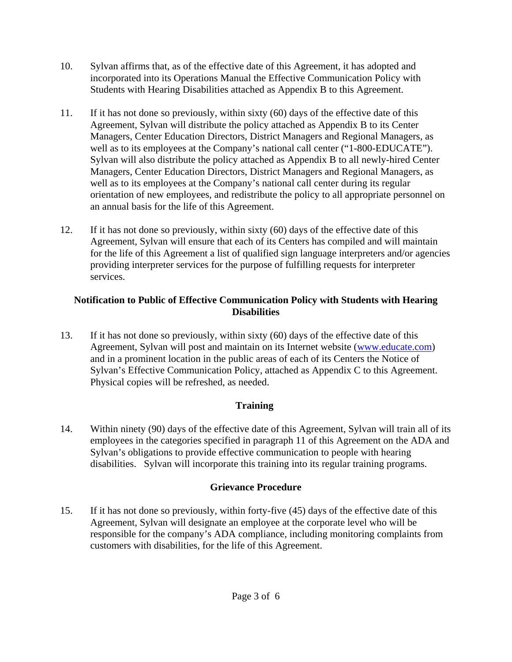- 10. Sylvan affirms that, as of the effective date of this Agreement, it has adopted and incorporated into its Operations Manual the Effective Communication Policy with Students with Hearing Disabilities attached as Appendix B to this Agreement.
- 11. If it has not done so previously, within sixty (60) days of the effective date of this Agreement, Sylvan will distribute the policy attached as Appendix B to its Center Managers, Center Education Directors, District Managers and Regional Managers, as well as to its employees at the Company's national call center ("1-800-EDUCATE"). Sylvan will also distribute the policy attached as Appendix B to all newly-hired Center Managers, Center Education Directors, District Managers and Regional Managers, as well as to its employees at the Company's national call center during its regular orientation of new employees, and redistribute the policy to all appropriate personnel on an annual basis for the life of this Agreement.
- 12. If it has not done so previously, within sixty (60) days of the effective date of this Agreement, Sylvan will ensure that each of its Centers has compiled and will maintain for the life of this Agreement a list of qualified sign language interpreters and/or agencies providing interpreter services for the purpose of fulfilling requests for interpreter services.

#### **Notification to Public of Effective Communication Policy with Students with Hearing Disabilities**

13. If it has not done so previously, within sixty (60) days of the effective date of this Agreement, Sylvan will post and maintain on its Internet website (www.educate.com) and in a prominent location in the public areas of each of its Centers the Notice of Sylvan's Effective Communication Policy, attached as Appendix C to this Agreement. Physical copies will be refreshed, as needed.

## **Training**

14. Within ninety (90) days of the effective date of this Agreement, Sylvan will train all of its employees in the categories specified in paragraph 11 of this Agreement on the ADA and Sylvan's obligations to provide effective communication to people with hearing disabilities. Sylvan will incorporate this training into its regular training programs.

## **Grievance Procedure**

15. If it has not done so previously, within forty-five (45) days of the effective date of this Agreement, Sylvan will designate an employee at the corporate level who will be responsible for the company's ADA compliance, including monitoring complaints from customers with disabilities, for the life of this Agreement.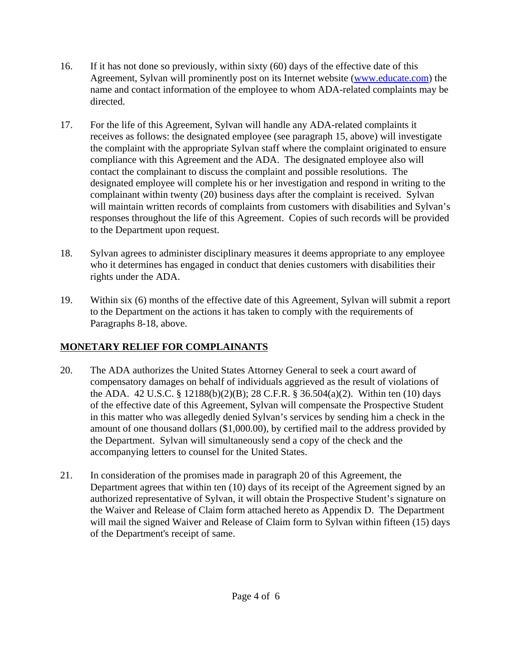- 16. If it has not done so previously, within sixty (60) days of the effective date of this Agreement, Sylvan will prominently post on its Internet website (www.educate.com) the name and contact information of the employee to whom ADA-related complaints may be directed.
- 17. For the life of this Agreement, Sylvan will handle any ADA-related complaints it receives as follows: the designated employee (see paragraph 15, above) will investigate the complaint with the appropriate Sylvan staff where the complaint originated to ensure compliance with this Agreement and the ADA. The designated employee also will contact the complainant to discuss the complaint and possible resolutions. The designated employee will complete his or her investigation and respond in writing to the complainant within twenty (20) business days after the complaint is received. Sylvan will maintain written records of complaints from customers with disabilities and Sylvan's responses throughout the life of this Agreement. Copies of such records will be provided to the Department upon request.
- 18. Sylvan agrees to administer disciplinary measures it deems appropriate to any employee who it determines has engaged in conduct that denies customers with disabilities their rights under the ADA.
- 19. Within six (6) months of the effective date of this Agreement, Sylvan will submit a report to the Department on the actions it has taken to comply with the requirements of Paragraphs 8-18, above.

# **MONETARY RELIEF FOR COMPLAINANTS**

- 20. The ADA authorizes the United States Attorney General to seek a court award of compensatory damages on behalf of individuals aggrieved as the result of violations of the ADA. 42 U.S.C. § 12188(b)(2)(B); 28 C.F.R. § 36.504(a)(2). Within ten (10) days of the effective date of this Agreement, Sylvan will compensate the Prospective Student in this matter who was allegedly denied Sylvan's services by sending him a check in the amount of one thousand dollars (\$1,000.00), by certified mail to the address provided by the Department. Sylvan will simultaneously send a copy of the check and the accompanying letters to counsel for the United States.
- 21. In consideration of the promises made in paragraph 20 of this Agreement, the Department agrees that within ten (10) days of its receipt of the Agreement signed by an authorized representative of Sylvan, it will obtain the Prospective Student's signature on the Waiver and Release of Claim form attached hereto as Appendix D. The Department will mail the signed Waiver and Release of Claim form to Sylvan within fifteen (15) days of the Department's receipt of same.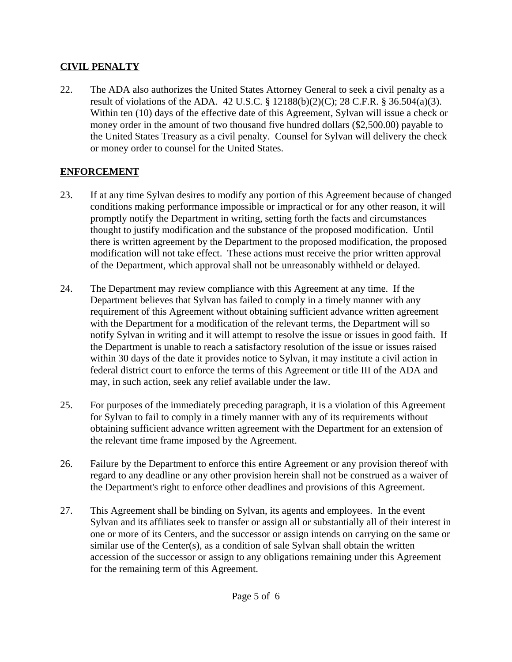#### **CIVIL PENALTY**

22. The ADA also authorizes the United States Attorney General to seek a civil penalty as a result of violations of the ADA. 42 U.S.C. § 12188(b)(2)(C); 28 C.F.R. § 36.504(a)(3). Within ten (10) days of the effective date of this Agreement, Sylvan will issue a check or money order in the amount of two thousand five hundred dollars (\$2,500.00) payable to the United States Treasury as a civil penalty. Counsel for Sylvan will delivery the check or money order to counsel for the United States.

## **ENFORCEMENT**

- 23. If at any time Sylvan desires to modify any portion of this Agreement because of changed conditions making performance impossible or impractical or for any other reason, it will promptly notify the Department in writing, setting forth the facts and circumstances thought to justify modification and the substance of the proposed modification. Until there is written agreement by the Department to the proposed modification, the proposed modification will not take effect. These actions must receive the prior written approval of the Department, which approval shall not be unreasonably withheld or delayed.
- 24. The Department may review compliance with this Agreement at any time. If the Department believes that Sylvan has failed to comply in a timely manner with any requirement of this Agreement without obtaining sufficient advance written agreement with the Department for a modification of the relevant terms, the Department will so notify Sylvan in writing and it will attempt to resolve the issue or issues in good faith. If the Department is unable to reach a satisfactory resolution of the issue or issues raised within 30 days of the date it provides notice to Sylvan, it may institute a civil action in federal district court to enforce the terms of this Agreement or title III of the ADA and may, in such action, seek any relief available under the law.
- 25. For purposes of the immediately preceding paragraph, it is a violation of this Agreement for Sylvan to fail to comply in a timely manner with any of its requirements without obtaining sufficient advance written agreement with the Department for an extension of the relevant time frame imposed by the Agreement.
- 26. Failure by the Department to enforce this entire Agreement or any provision thereof with regard to any deadline or any other provision herein shall not be construed as a waiver of the Department's right to enforce other deadlines and provisions of this Agreement.
- 27. This Agreement shall be binding on Sylvan, its agents and employees. In the event Sylvan and its affiliates seek to transfer or assign all or substantially all of their interest in one or more of its Centers, and the successor or assign intends on carrying on the same or similar use of the Center(s), as a condition of sale Sylvan shall obtain the written accession of the successor or assign to any obligations remaining under this Agreement for the remaining term of this Agreement.